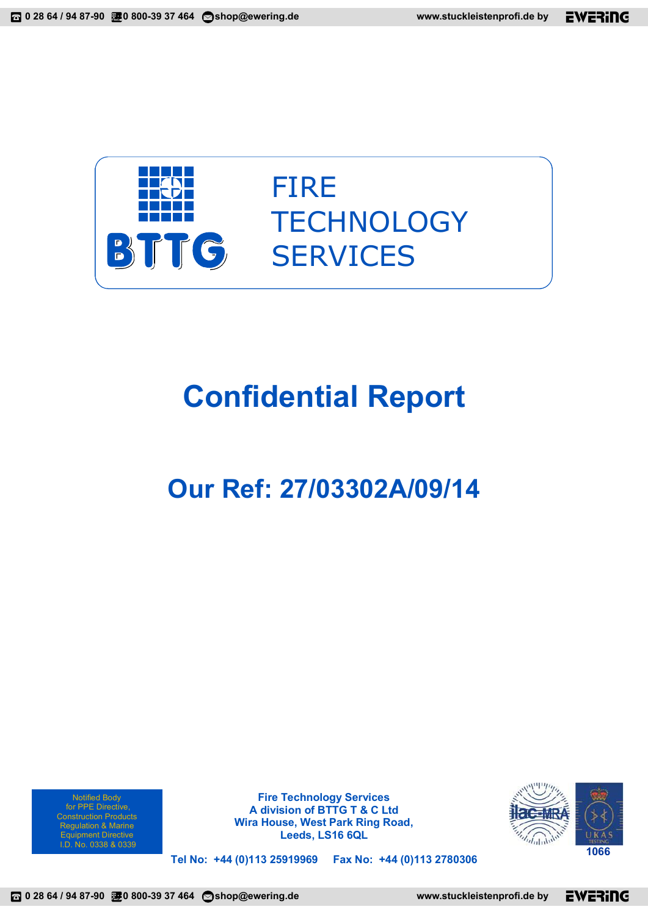

# **Confidential Report**

# **Our Ref: 27/03302A/09/14**

Notified Body for PPE Directive, Regulation & Marine Equipment Directive<br>.D. No. 0338 & 0339

**Fire Technology Services A division of BTTG T & C Ltd Wira House, West Park Ring Road, Leeds, LS16 6QL** 



**Tel No: +44 (0)113 25919969 Fax No: +44 (0)113 2780306**  I.D. No. 0338 & 0339 **<sup>1066</sup>**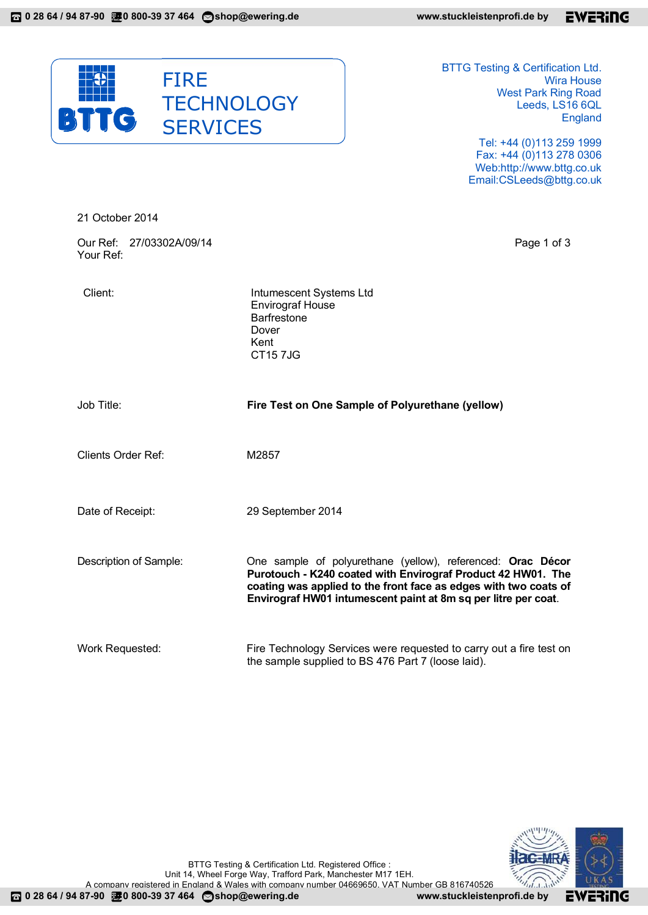

BTTG Testing & Certification Ltd. Wira House West Park Ring Road Leeds, LS16 6QL England

> Tel: +44 (0)113 259 1999 Fax: +44 (0)113 278 0306 Web:http://www.bttg.co.uk Email:CSLeeds@bttg.co.uk

| 21 October 2014                       |                                                                                                                                                                                                                                                                   |  |  |
|---------------------------------------|-------------------------------------------------------------------------------------------------------------------------------------------------------------------------------------------------------------------------------------------------------------------|--|--|
| Our Ref: 27/03302A/09/14<br>Your Ref: | Page 1 of 3                                                                                                                                                                                                                                                       |  |  |
| Client:                               | Intumescent Systems Ltd<br><b>Envirograf House</b><br><b>Barfrestone</b><br>Dover<br>Kent<br><b>CT157JG</b>                                                                                                                                                       |  |  |
| Job Title:                            | Fire Test on One Sample of Polyurethane (yellow)                                                                                                                                                                                                                  |  |  |
| <b>Clients Order Ref:</b>             | M2857                                                                                                                                                                                                                                                             |  |  |
| Date of Receipt:                      | 29 September 2014                                                                                                                                                                                                                                                 |  |  |
| Description of Sample:                | One sample of polyurethane (yellow), referenced: Orac Décor<br>Purotouch - K240 coated with Envirograf Product 42 HW01. The<br>coating was applied to the front face as edges with two coats of<br>Envirograf HW01 intumescent paint at 8m sq per litre per coat. |  |  |
| Work Requested:                       | Fire Technology Services were requested to carry out a fire test on<br>the sample supplied to BS 476 Part 7 (loose laid).                                                                                                                                         |  |  |

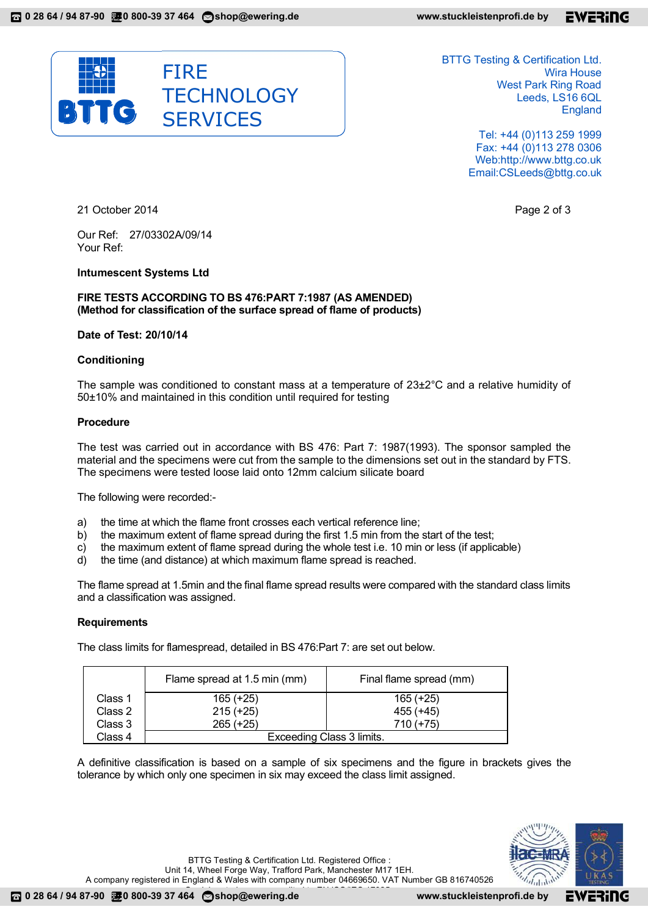

BTTG Testing & Certification Ltd. Wira House West Park Ring Road Leeds, LS16 6QL England

> Tel: +44 (0)113 259 1999 Fax: +44 (0)113 278 0306 Web:http://www.bttg.co.uk Email:CSLeeds@bttg.co.uk

21 October 2014 **Page 2 of 3** 

Our Ref: 27/03302A/09/14 Your Ref:

# **Intumescent Systems Ltd**

**FIRE TESTS ACCORDING TO BS 476:PART 7:1987 (AS AMENDED) (Method for classification of the surface spread of flame of products)** 

# **Date of Test: 20/10/14**

# **Conditioning**

The sample was conditioned to constant mass at a temperature of 23±2°C and a relative humidity of 50±10% and maintained in this condition until required for testing

# **Procedure**

The test was carried out in accordance with BS 476: Part 7: 1987(1993). The sponsor sampled the material and the specimens were cut from the sample to the dimensions set out in the standard by FTS. The specimens were tested loose laid onto 12mm calcium silicate board

The following were recorded:-

- a) the time at which the flame front crosses each vertical reference line;
- b) the maximum extent of flame spread during the first 1.5 min from the start of the test;
- c) the maximum extent of flame spread during the whole test i.e. 10 min or less (if applicable)
- d) the time (and distance) at which maximum flame spread is reached.

The flame spread at 1.5min and the final flame spread results were compared with the standard class limits and a classification was assigned.

#### **Requirements**

The class limits for flamespread, detailed in BS 476:Part 7: are set out below.

|         | Flame spread at 1.5 min (mm) | Final flame spread (mm) |  |  |  |  |
|---------|------------------------------|-------------------------|--|--|--|--|
| Class 1 | $165 (+25)$                  | $165 (+25)$             |  |  |  |  |
| Class 2 | $215 (+25)$                  | 455 (+45)               |  |  |  |  |
| Class 3 | $265 (+25)$                  | $710 (+75)$             |  |  |  |  |
| Class 4 | Exceeding Class 3 limits.    |                         |  |  |  |  |

A definitive classification is based on a sample of six specimens and the figure in brackets gives the tolerance by which only one specimen in six may exceed the class limit assigned.



BTTG Testing & Certification Ltd. Registered Office : Unit 14, Wheel Forge Way, Trafford Park, Manchester M17 1EH. A company registered in England & Wales with company number 04669650. VAT Number GB 816740526